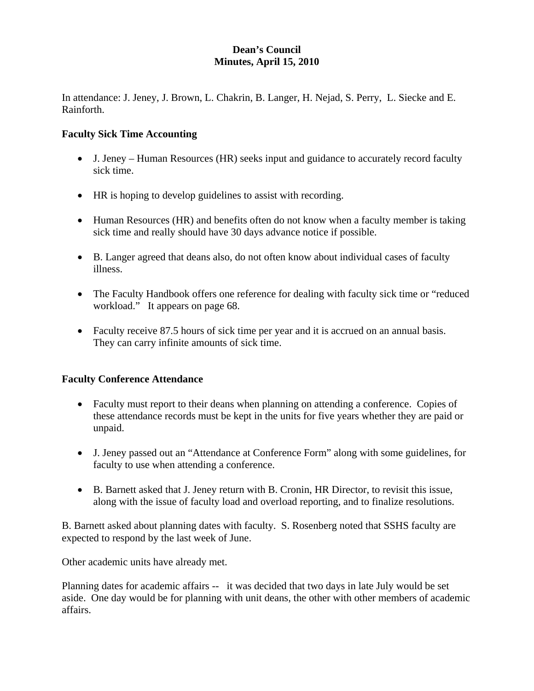# **Dean's Council Minutes, April 15, 2010**

In attendance: J. Jeney, J. Brown, L. Chakrin, B. Langer, H. Nejad, S. Perry, L. Siecke and E. Rainforth.

### **Faculty Sick Time Accounting**

- J. Jeney Human Resources (HR) seeks input and guidance to accurately record faculty sick time.
- HR is hoping to develop guidelines to assist with recording.
- Human Resources (HR) and benefits often do not know when a faculty member is taking sick time and really should have 30 days advance notice if possible.
- B. Langer agreed that deans also, do not often know about individual cases of faculty illness.
- The Faculty Handbook offers one reference for dealing with faculty sick time or "reduced" workload." It appears on page 68.
- Faculty receive 87.5 hours of sick time per year and it is accrued on an annual basis. They can carry infinite amounts of sick time.

# **Faculty Conference Attendance**

- Faculty must report to their deans when planning on attending a conference. Copies of these attendance records must be kept in the units for five years whether they are paid or unpaid.
- J. Jeney passed out an "Attendance at Conference Form" along with some guidelines, for faculty to use when attending a conference.
- B. Barnett asked that J. Jeney return with B. Cronin, HR Director, to revisit this issue, along with the issue of faculty load and overload reporting, and to finalize resolutions.

B. Barnett asked about planning dates with faculty. S. Rosenberg noted that SSHS faculty are expected to respond by the last week of June.

Other academic units have already met.

Planning dates for academic affairs -- it was decided that two days in late July would be set aside. One day would be for planning with unit deans, the other with other members of academic affairs.